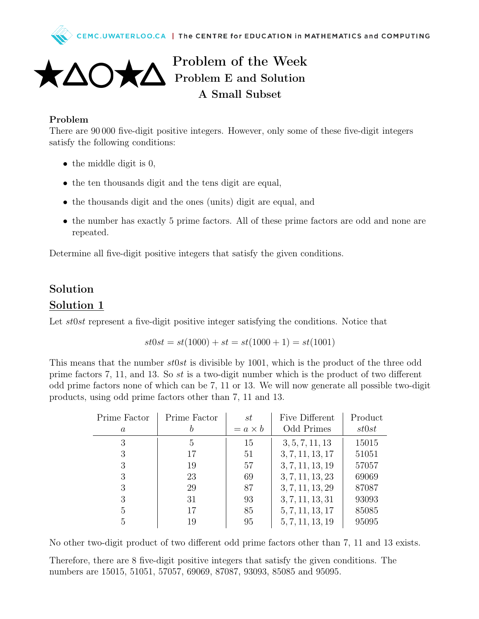



## Problem of the Week Problem E and Solution A Small Subset

## Problem

There are 90 000 five-digit positive integers. However, only some of these five-digit integers satisfy the following conditions:

- the middle digit is 0,
- the ten thousands digit and the tens digit are equal,
- the thousands digit and the ones (units) digit are equal, and
- the number has exactly 5 prime factors. All of these prime factors are odd and none are repeated.

Determine all five-digit positive integers that satisfy the given conditions.

## Solution Solution 1

Let st0st represent a five-digit positive integer satisfying the conditions. Notice that

$$
st0st = st(1000) + st = st(1000 + 1) = st(1001)
$$

This means that the number  $st0st$  is divisible by 1001, which is the product of the three odd prime factors 7, 11, and 13. So  $st$  is a two-digit number which is the product of two different odd prime factors none of which can be 7, 11 or 13. We will now generate all possible two-digit products, using odd prime factors other than 7, 11 and 13.

| Prime Factor     | Prime Factor | st             | Five Different   | Product |
|------------------|--------------|----------------|------------------|---------|
| $\boldsymbol{a}$ |              | $= a \times b$ | Odd Primes       | st0st   |
| 3                | 5            | 15             | 3, 5, 7, 11, 13  | 15015   |
| 3                | 17           | 51             | 3, 7, 11, 13, 17 | 51051   |
| 3                | 19           | 57             | 3, 7, 11, 13, 19 | 57057   |
| 3                | 23           | 69             | 3, 7, 11, 13, 23 | 69069   |
| 3                | 29           | 87             | 3, 7, 11, 13, 29 | 87087   |
| 3                | 31           | 93             | 3, 7, 11, 13, 31 | 93093   |
| 5                | 17           | 85             | 5, 7, 11, 13, 17 | 85085   |
| 5                | 19           | 95             | 5, 7, 11, 13, 19 | 95095   |

No other two-digit product of two different odd prime factors other than 7, 11 and 13 exists.

Therefore, there are 8 five-digit positive integers that satisfy the given conditions. The numbers are 15015, 51051, 57057, 69069, 87087, 93093, 85085 and 95095.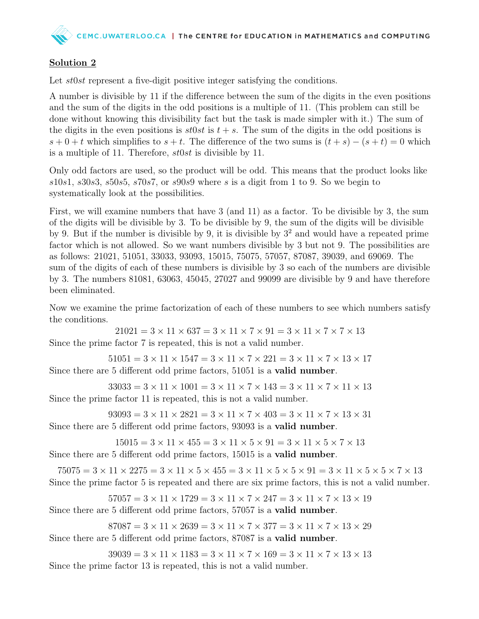## Solution 2

Let *st0st* represent a five-digit positive integer satisfying the conditions.

A number is divisible by 11 if the difference between the sum of the digits in the even positions and the sum of the digits in the odd positions is a multiple of 11. (This problem can still be done without knowing this divisibility fact but the task is made simpler with it.) The sum of the digits in the even positions is  $st0st$  is  $t + s$ . The sum of the digits in the odd positions is  $s + 0 + t$  which simplifies to  $s + t$ . The difference of the two sums is  $(t + s) - (s + t) = 0$  which is a multiple of 11. Therefore, st0st is divisible by 11.

Only odd factors are used, so the product will be odd. This means that the product looks like  $s10s1, s30s3, s50s5, s70s7,$  or  $s90s9$  where s is a digit from 1 to 9. So we begin to systematically look at the possibilities.

First, we will examine numbers that have 3 (and 11) as a factor. To be divisible by 3, the sum of the digits will be divisible by 3. To be divisible by 9, the sum of the digits will be divisible by 9. But if the number is divisible by 9, it is divisible by  $3<sup>2</sup>$  and would have a repeated prime factor which is not allowed. So we want numbers divisible by 3 but not 9. The possibilities are as follows: 21021, 51051, 33033, 93093, 15015, 75075, 57057, 87087, 39039, and 69069. The sum of the digits of each of these numbers is divisible by 3 so each of the numbers are divisible by 3. The numbers 81081, 63063, 45045, 27027 and 99099 are divisible by 9 and have therefore been eliminated.

Now we examine the prime factorization of each of these numbers to see which numbers satisfy the conditions.

 $21021 = 3 \times 11 \times 637 = 3 \times 11 \times 7 \times 91 = 3 \times 11 \times 7 \times 7 \times 13$ Since the prime factor 7 is repeated, this is not a valid number.

 $51051 = 3 \times 11 \times 1547 = 3 \times 11 \times 7 \times 221 = 3 \times 11 \times 7 \times 13 \times 17$ Since there are 5 different odd prime factors, 51051 is a valid number.

 $33033 = 3 \times 11 \times 1001 = 3 \times 11 \times 7 \times 143 = 3 \times 11 \times 7 \times 11 \times 13$ Since the prime factor 11 is repeated, this is not a valid number.

 $93093 = 3 \times 11 \times 2821 = 3 \times 11 \times 7 \times 403 = 3 \times 11 \times 7 \times 13 \times 31$ Since there are 5 different odd prime factors, 93093 is a valid number.

 $15015 = 3 \times 11 \times 455 = 3 \times 11 \times 5 \times 91 = 3 \times 11 \times 5 \times 7 \times 13$ Since there are 5 different odd prime factors, 15015 is a valid number.

 $75075 = 3 \times 11 \times 2275 = 3 \times 11 \times 5 \times 455 = 3 \times 11 \times 5 \times 5 \times 91 = 3 \times 11 \times 5 \times 5 \times 7 \times 13$ Since the prime factor 5 is repeated and there are six prime factors, this is not a valid number.

 $57057 = 3 \times 11 \times 1729 = 3 \times 11 \times 7 \times 247 = 3 \times 11 \times 7 \times 13 \times 19$ Since there are 5 different odd prime factors, 57057 is a valid number.

 $87087 = 3 \times 11 \times 2639 = 3 \times 11 \times 7 \times 377 = 3 \times 11 \times 7 \times 13 \times 29$ Since there are 5 different odd prime factors, 87087 is a valid number.

 $39039 = 3 \times 11 \times 1183 = 3 \times 11 \times 7 \times 169 = 3 \times 11 \times 7 \times 13 \times 13$ Since the prime factor 13 is repeated, this is not a valid number.